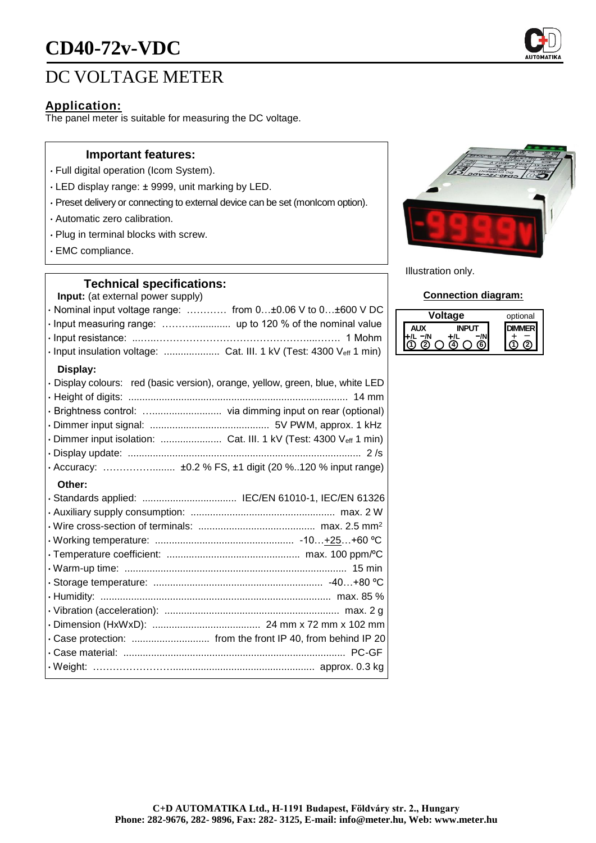# **CD40-72v-VDC**

## DC VOLTAGE METER

## **Application:**

The panel meter is suitable for measuring the DC voltage.

#### **Important features:**

- Full digital operation (Icom System).
- LED display range: ± 9999, unit marking by LED.
- Preset delivery or connecting to external device can be set (monIcom option).
- Automatic zero calibration.
- Plug in terminal blocks with screw.
- EMC compliance.

## **Technical specifications:**

**Input:** (at external power supply)

| · Nominal input voltage range:  from 0±0.06 V to 0±600 V DC         |  |
|---------------------------------------------------------------------|--|
|                                                                     |  |
|                                                                     |  |
| · Input insulation voltage:  Cat. III. 1 kV (Test: 4300 Veff 1 min) |  |

### **Display:**

| · Display colours: red (basic version), orange, yellow, green, blue, white LED |
|--------------------------------------------------------------------------------|
|                                                                                |
|                                                                                |
|                                                                                |
|                                                                                |
|                                                                                |
|                                                                                |
|                                                                                |

#### **Other:**

| · Standards applied:  IEC/EN 61010-1, IEC/EN 61326 |  |
|----------------------------------------------------|--|
|                                                    |  |
|                                                    |  |
|                                                    |  |
|                                                    |  |
|                                                    |  |
|                                                    |  |
|                                                    |  |
|                                                    |  |
|                                                    |  |
|                                                    |  |
|                                                    |  |
|                                                    |  |



Illustration only.

#### **Connection diagram:**

| age   | optional |
|-------|----------|
| דו וי |          |
|       |          |